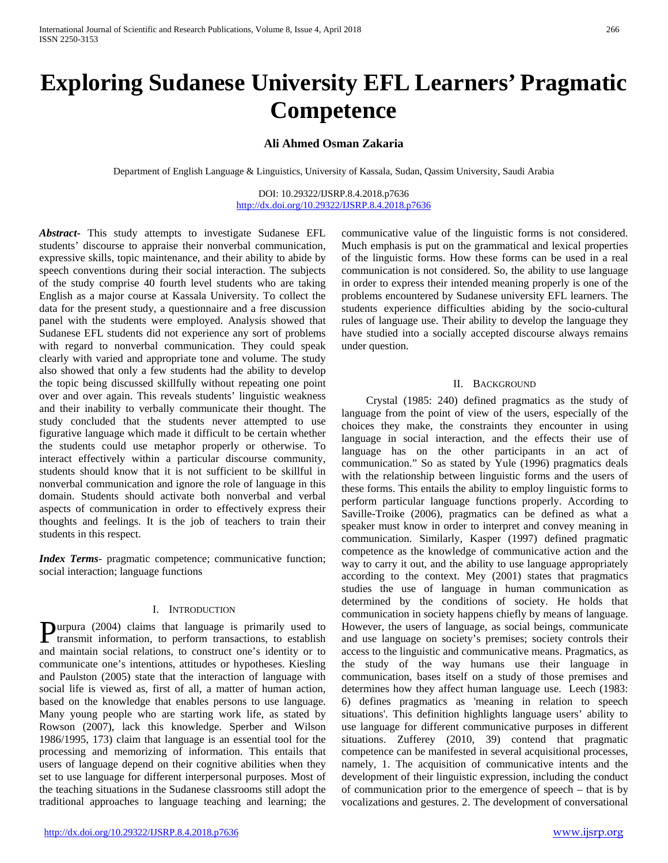# **Exploring Sudanese University EFL Learners' Pragmatic Competence**

**Ali Ahmed Osman Zakaria**

Department of English Language & Linguistics, University of Kassala, Sudan, Qassim University, Saudi Arabia

DOI: 10.29322/IJSRP.8.4.2018.p7636 <http://dx.doi.org/10.29322/IJSRP.8.4.2018.p7636>

*Abstract***-** This study attempts to investigate Sudanese EFL students' discourse to appraise their nonverbal communication, expressive skills, topic maintenance, and their ability to abide by speech conventions during their social interaction. The subjects of the study comprise 40 fourth level students who are taking English as a major course at Kassala University. To collect the data for the present study, a questionnaire and a free discussion panel with the students were employed. Analysis showed that Sudanese EFL students did not experience any sort of problems with regard to nonverbal communication. They could speak clearly with varied and appropriate tone and volume. The study also showed that only a few students had the ability to develop the topic being discussed skillfully without repeating one point over and over again. This reveals students' linguistic weakness and their inability to verbally communicate their thought. The study concluded that the students never attempted to use figurative language which made it difficult to be certain whether the students could use metaphor properly or otherwise. To interact effectively within a particular discourse community, students should know that it is not sufficient to be skillful in nonverbal communication and ignore the role of language in this domain. Students should activate both nonverbal and verbal aspects of communication in order to effectively express their thoughts and feelings. It is the job of teachers to train their students in this respect.

*Index Terms*- pragmatic competence; communicative function; social interaction; language functions

## I. INTRODUCTION

urpura (2004) claims that language is primarily used to **P**urpura (2004) claims that language is primarily used to transmit information, to perform transactions, to establish and maintain social relations, to construct one's identity or to communicate one's intentions, attitudes or hypotheses. Kiesling and Paulston (2005) state that the interaction of language with social life is viewed as, first of all, a matter of human action, based on the knowledge that enables persons to use language. Many young people who are starting work life, as stated by Rowson (2007), lack this knowledge. Sperber and Wilson 1986/1995, 173) claim that language is an essential tool for the processing and memorizing of information. This entails that users of language depend on their cognitive abilities when they set to use language for different interpersonal purposes. Most of the teaching situations in the Sudanese classrooms still adopt the traditional approaches to language teaching and learning; the

communicative value of the linguistic forms is not considered. Much emphasis is put on the grammatical and lexical properties of the linguistic forms. How these forms can be used in a real communication is not considered. So, the ability to use language in order to express their intended meaning properly is one of the problems encountered by Sudanese university EFL learners. The students experience difficulties abiding by the socio-cultural rules of language use. Their ability to develop the language they have studied into a socially accepted discourse always remains under question.

## II. BACKGROUND

 Crystal (1985: 240) defined pragmatics as the study of language from the point of view of the users, especially of the choices they make, the constraints they encounter in using language in social interaction, and the effects their use of language has on the other participants in an act of communication." So as stated by Yule (1996) pragmatics deals with the relationship between linguistic forms and the users of these forms. This entails the ability to employ linguistic forms to perform particular language functions properly. According to Saville-Troike (2006), pragmatics can be defined as what a speaker must know in order to interpret and convey meaning in communication. Similarly, Kasper (1997) defined pragmatic competence as the knowledge of communicative action and the way to carry it out, and the ability to use language appropriately according to the context. Mey (2001) states that pragmatics studies the use of language in human communication as determined by the conditions of society. He holds that communication in society happens chiefly by means of language. However, the users of language, as social beings, communicate and use language on society's premises; society controls their access to the linguistic and communicative means. Pragmatics, as the study of the way humans use their language in communication, bases itself on a study of those premises and determines how they affect human language use. Leech (1983: 6) defines pragmatics as 'meaning in relation to speech situations'. This definition highlights language users' ability to use language for different communicative purposes in different situations. Zufferey (2010, 39) contend that pragmatic competence can be manifested in several acquisitional processes, namely, 1. The acquisition of communicative intents and the development of their linguistic expression, including the conduct of communication prior to the emergence of speech – that is by vocalizations and gestures. 2. The development of conversational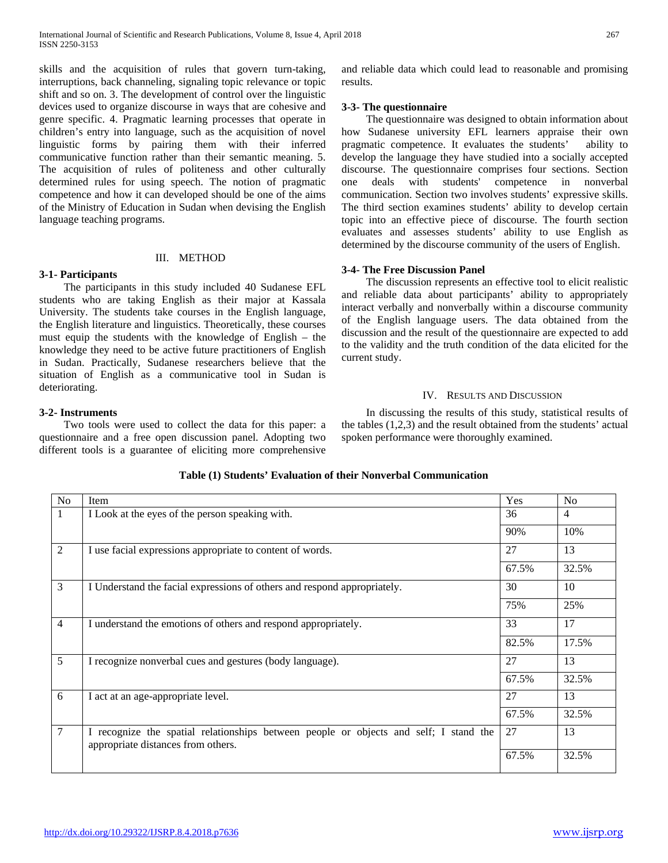skills and the acquisition of rules that govern turn-taking, interruptions, back channeling, signaling topic relevance or topic shift and so on. 3. The development of control over the linguistic devices used to organize discourse in ways that are cohesive and genre specific. 4. Pragmatic learning processes that operate in children's entry into language, such as the acquisition of novel linguistic forms by pairing them with their inferred communicative function rather than their semantic meaning. 5. The acquisition of rules of politeness and other culturally determined rules for using speech. The notion of pragmatic competence and how it can developed should be one of the aims of the Ministry of Education in Sudan when devising the English language teaching programs.

## III. METHOD

# **3-1- Participants**

 The participants in this study included 40 Sudanese EFL students who are taking English as their major at Kassala University. The students take courses in the English language, the English literature and linguistics. Theoretically, these courses must equip the students with the knowledge of English – the knowledge they need to be active future practitioners of English in Sudan. Practically, Sudanese researchers believe that the situation of English as a communicative tool in Sudan is deteriorating.

and reliable data which could lead to reasonable and promising results.

# **3-3- The questionnaire**

 The questionnaire was designed to obtain information about how Sudanese university EFL learners appraise their own pragmatic competence. It evaluates the students' ability to develop the language they have studied into a socially accepted discourse. The questionnaire comprises four sections. Section one deals with students' competence in nonverbal communication. Section two involves students' expressive skills. The third section examines students' ability to develop certain topic into an effective piece of discourse. The fourth section evaluates and assesses students' ability to use English as determined by the discourse community of the users of English.

# **3-4- The Free Discussion Panel**

 The discussion represents an effective tool to elicit realistic and reliable data about participants' ability to appropriately interact verbally and nonverbally within a discourse community of the English language users. The data obtained from the discussion and the result of the questionnaire are expected to add to the validity and the truth condition of the data elicited for the current study.

# IV. RESULTS AND DISCUSSION

## **3-2- Instruments**

 Two tools were used to collect the data for this paper: a questionnaire and a free open discussion panel. Adopting two different tools is a guarantee of eliciting more comprehensive

 In discussing the results of this study, statistical results of the tables (1,2,3) and the result obtained from the students' actual spoken performance were thoroughly examined.

# **Table (1) Students' Evaluation of their Nonverbal Communication**

| N <sub>0</sub>  | Item                                                                                                                        | Yes   | No             |
|-----------------|-----------------------------------------------------------------------------------------------------------------------------|-------|----------------|
| $\mathbf{1}$    | I Look at the eyes of the person speaking with.                                                                             | 36    | $\overline{4}$ |
|                 |                                                                                                                             | 90%   | 10%            |
| $\overline{2}$  | I use facial expressions appropriate to content of words.                                                                   | 27    | 13             |
|                 |                                                                                                                             | 67.5% | 32.5%          |
| 3               | I Understand the facial expressions of others and respond appropriately.                                                    | 30    | 10             |
|                 |                                                                                                                             | 75%   | 25%            |
| $\overline{4}$  | I understand the emotions of others and respond appropriately.                                                              | 33    | 17             |
|                 |                                                                                                                             | 82.5% | 17.5%          |
| 5               | I recognize nonverbal cues and gestures (body language).                                                                    | 27    | 13             |
|                 |                                                                                                                             | 67.5% | 32.5%          |
| 6               | I act at an age-appropriate level.                                                                                          | 27    | 13             |
|                 |                                                                                                                             | 67.5% | 32.5%          |
| $7\phantom{.0}$ | I recognize the spatial relationships between people or objects and self; I stand the<br>appropriate distances from others. | 27    | 13             |
|                 |                                                                                                                             | 67.5% | 32.5%          |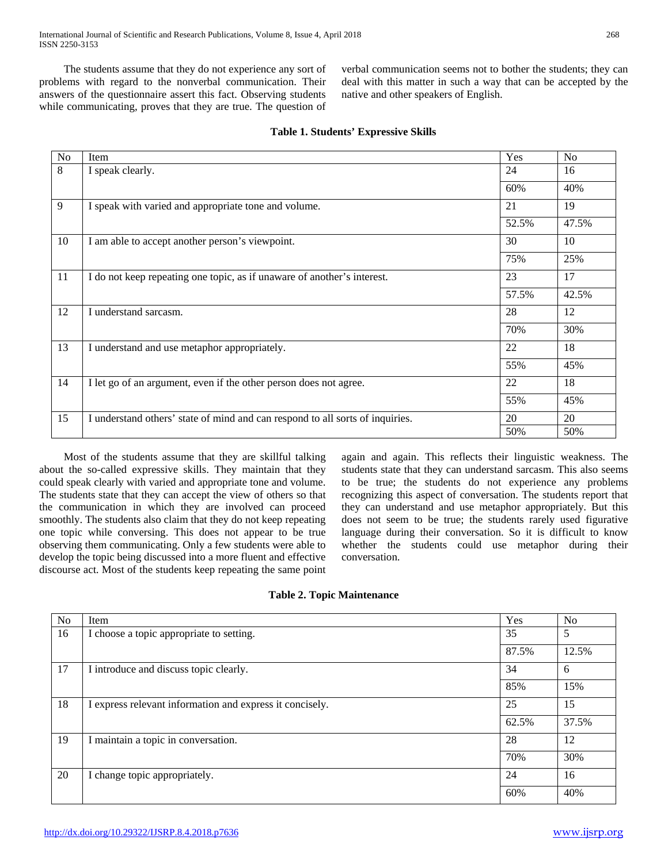The students assume that they do not experience any sort of problems with regard to the nonverbal communication. Their answers of the questionnaire assert this fact. Observing students while communicating, proves that they are true. The question of verbal communication seems not to bother the students; they can deal with this matter in such a way that can be accepted by the native and other speakers of English.

| No | Item                                                                          | Yes   | No    |
|----|-------------------------------------------------------------------------------|-------|-------|
| 8  | I speak clearly.                                                              | 24    | 16    |
|    |                                                                               | 60%   | 40%   |
| 9  | I speak with varied and appropriate tone and volume.                          | 21    | 19    |
|    |                                                                               | 52.5% | 47.5% |
| 10 | I am able to accept another person's viewpoint.                               | 30    | 10    |
|    |                                                                               | 75%   | 25%   |
| 11 | I do not keep repeating one topic, as if unaware of another's interest.       | 23    | 17    |
|    |                                                                               | 57.5% | 42.5% |
| 12 | I understand sarcasm.                                                         | 28    | 12    |
|    |                                                                               | 70%   | 30%   |
| 13 | I understand and use metaphor appropriately.                                  | 22    | 18    |
|    |                                                                               | 55%   | 45%   |
| 14 | I let go of an argument, even if the other person does not agree.             | 22    | 18    |
|    |                                                                               | 55%   | 45%   |
| 15 | I understand others' state of mind and can respond to all sorts of inquiries. | 20    | 20    |
|    |                                                                               | 50%   | 50%   |

# **Table 1. Students' Expressive Skills**

 Most of the students assume that they are skillful talking about the so-called expressive skills. They maintain that they could speak clearly with varied and appropriate tone and volume. The students state that they can accept the view of others so that the communication in which they are involved can proceed smoothly. The students also claim that they do not keep repeating one topic while conversing. This does not appear to be true observing them communicating. Only a few students were able to develop the topic being discussed into a more fluent and effective discourse act. Most of the students keep repeating the same point

again and again. This reflects their linguistic weakness. The students state that they can understand sarcasm. This also seems to be true; the students do not experience any problems recognizing this aspect of conversation. The students report that they can understand and use metaphor appropriately. But this does not seem to be true; the students rarely used figurative language during their conversation. So it is difficult to know whether the students could use metaphor during their conversation.

|  |  | <b>Table 2. Topic Maintenance</b> |
|--|--|-----------------------------------|
|--|--|-----------------------------------|

| No | Item                                                     | Yes   | N <sub>0</sub> |
|----|----------------------------------------------------------|-------|----------------|
| 16 | I choose a topic appropriate to setting.                 | 35    | 5              |
|    |                                                          | 87.5% | 12.5%          |
| 17 | I introduce and discuss topic clearly.                   | 34    | 6              |
|    |                                                          | 85%   | 15%            |
| 18 | I express relevant information and express it concisely. | 25    | 15             |
|    |                                                          | 62.5% | 37.5%          |
| 19 | I maintain a topic in conversation.                      | 28    | 12             |
|    |                                                          | 70%   | 30%            |
| 20 | I change topic appropriately.                            | 24    | 16             |
|    |                                                          | 60%   | 40%            |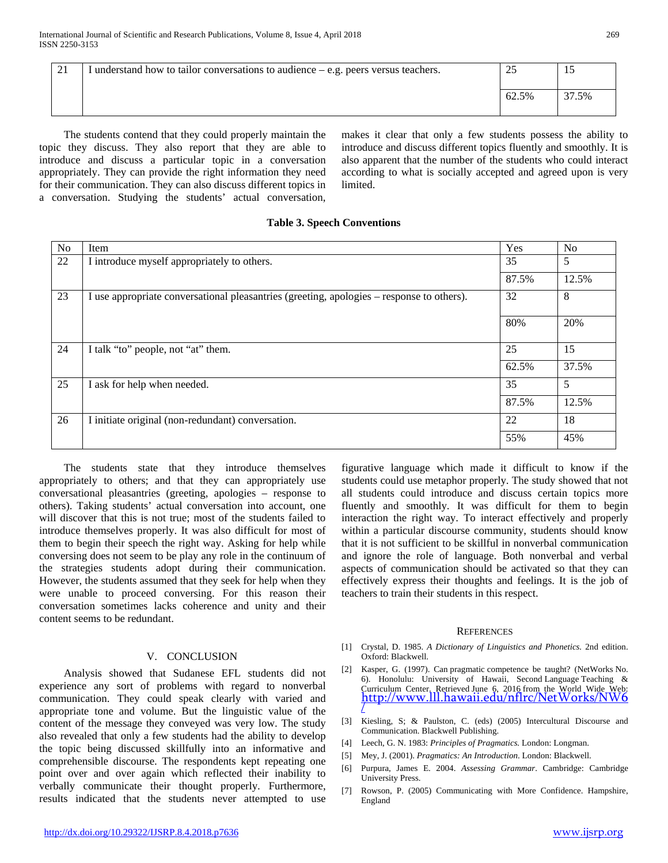| ∠⊥ | I understand how to tailor conversations to audience $-$ e.g. peers versus teachers. | <u>_</u> | 15    |
|----|--------------------------------------------------------------------------------------|----------|-------|
|    |                                                                                      | 62.5%    | 37.5% |

 The students contend that they could properly maintain the topic they discuss. They also report that they are able to introduce and discuss a particular topic in a conversation appropriately. They can provide the right information they need for their communication. They can also discuss different topics in a conversation. Studying the students' actual conversation,

makes it clear that only a few students possess the ability to introduce and discuss different topics fluently and smoothly. It is also apparent that the number of the students who could interact according to what is socially accepted and agreed upon is very limited.

## **Table 3. Speech Conventions**

| N <sub>o</sub> | Item                                                                                      | Yes   | No    |
|----------------|-------------------------------------------------------------------------------------------|-------|-------|
| 22             | I introduce myself appropriately to others.                                               | 35    | 5     |
|                |                                                                                           | 87.5% | 12.5% |
| 23             | I use appropriate conversational pleasantries (greeting, apologies – response to others). | 32    | 8     |
|                |                                                                                           | 80%   | 20%   |
| 24             | I talk "to" people, not "at" them.                                                        | 25    | 15    |
|                |                                                                                           | 62.5% | 37.5% |
| 25             | I ask for help when needed.                                                               | 35    | 5     |
|                |                                                                                           | 87.5% | 12.5% |
| 26             | I initiate original (non-redundant) conversation.                                         | 22    | 18    |
|                |                                                                                           | 55%   | 45%   |

 The students state that they introduce themselves appropriately to others; and that they can appropriately use conversational pleasantries (greeting, apologies – response to others). Taking students' actual conversation into account, one will discover that this is not true; most of the students failed to introduce themselves properly. It was also difficult for most of them to begin their speech the right way. Asking for help while conversing does not seem to be play any role in the continuum of the strategies students adopt during their communication. However, the students assumed that they seek for help when they were unable to proceed conversing. For this reason their conversation sometimes lacks coherence and unity and their content seems to be redundant.

## V. CONCLUSION

 Analysis showed that Sudanese EFL students did not experience any sort of problems with regard to nonverbal communication. They could speak clearly with varied and appropriate tone and volume. But the linguistic value of the content of the message they conveyed was very low. The study also revealed that only a few students had the ability to develop the topic being discussed skillfully into an informative and comprehensible discourse. The respondents kept repeating one point over and over again which reflected their inability to verbally communicate their thought properly. Furthermore, results indicated that the students never attempted to use figurative language which made it difficult to know if the students could use metaphor properly. The study showed that not all students could introduce and discuss certain topics more fluently and smoothly. It was difficult for them to begin interaction the right way. To interact effectively and properly within a particular discourse community, students should know that it is not sufficient to be skillful in nonverbal communication and ignore the role of language. Both nonverbal and verbal aspects of communication should be activated so that they can effectively express their thoughts and feelings. It is the job of teachers to train their students in this respect.

#### **REFERENCES**

- [1] Crystal, D. 1985. *A Dictionary of Linguistics and Phonetics.* 2nd edition. Oxford: Blackwell.
- [2] Kasper, G. (1997). Can pragmatic competence be taught? (NetWorks No. 6). Honolulu: University of Hawaii, Second Language Teaching & Curriculum Center. Retrieved June 6, 2016 from the World Wide Web:<br><u>[http://www.lll.hawaii.edu/nflrc/NetWorks/NW6](http://www.lll.hawaii.edu/nflrc/NetWorks/NW6/)</u> [/](http://www.lll.hawaii.edu/nflrc/NetWorks/NW6/)
- [3] Kiesling, S; & Paulston, C. (eds) (2005) Intercultural Discourse and Communication. Blackwell Publishing.
- [4] Leech, G. N. 1983: *Principles of Pragmatics.* London: Longman.
- [5] Mey, J. (2001). *Pragmatics: An Introduction*. London: Blackwell.
- [6] Purpura, James E. 2004. *Assessing Grammar*. Cambridge: Cambridge University Press.
- [7] Rowson, P. (2005) Communicating with More Confidence. Hampshire, England